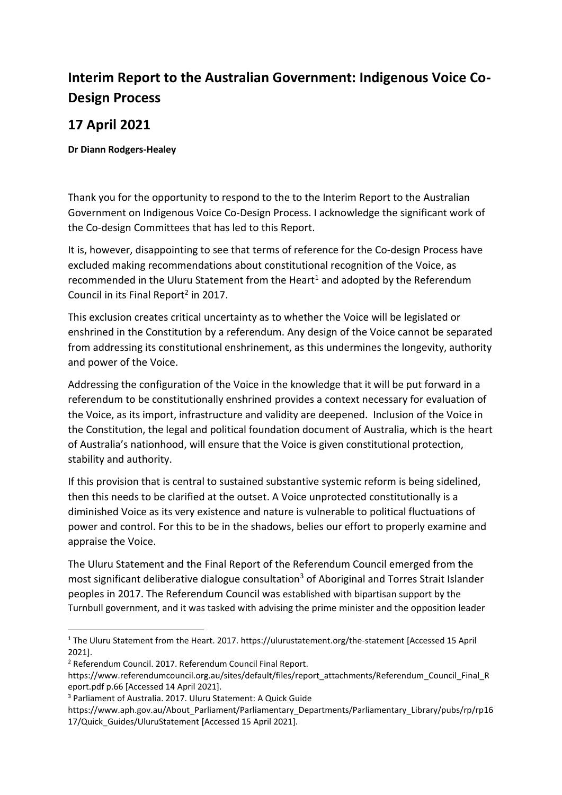## **Interim Report to the Australian Government: Indigenous Voice Co-Design Process**

## **17 April 2021**

## **Dr Diann Rodgers-Healey**

Thank you for the opportunity to respond to the to the Interim Report to the Australian Government on Indigenous Voice Co-Design Process. I acknowledge the significant work of the Co-design Committees that has led to this Report.

It is, however, disappointing to see that terms of reference for the Co-design Process have excluded making recommendations about constitutional recognition of the Voice, as recommended in the Uluru Statement from the Heart<sup>1</sup> and adopted by the Referendum Council in its Final Report<sup>2</sup> in 2017.

This exclusion creates critical uncertainty as to whether the Voice will be legislated or enshrined in the Constitution by a referendum. Any design of the Voice cannot be separated from addressing its constitutional enshrinement, as this undermines the longevity, authority and power of the Voice.

Addressing the configuration of the Voice in the knowledge that it will be put forward in a referendum to be constitutionally enshrined provides a context necessary for evaluation of the Voice, as its import, infrastructure and validity are deepened. Inclusion of the Voice in the Constitution, the legal and political foundation document of Australia, which is the heart of Australia's nationhood, will ensure that the Voice is given constitutional protection, stability and authority.

If this provision that is central to sustained substantive systemic reform is being sidelined, then this needs to be clarified at the outset. A Voice unprotected constitutionally is a diminished Voice as its very existence and nature is vulnerable to political fluctuations of power and control. For this to be in the shadows, belies our effort to properly examine and appraise the Voice.

The Uluru Statement and the Final Report of the Referendum Council emerged from the most significant deliberative dialogue consultation<sup>3</sup> of Aboriginal and Torres Strait Islander peoples in 2017. The Referendum Council was established with bipartisan support by the Turnbull government, and it was tasked with advising the prime minister and the opposition leader

<sup>1</sup> The Uluru Statement from the Heart. 2017. https://ulurustatement.org/the-statement [Accessed 15 April 2021].

<sup>2</sup> Referendum Council. 2017. Referendum Council Final Report.

https://www.referendumcouncil.org.au/sites/default/files/report\_attachments/Referendum\_Council\_Final\_R eport.pdf p.66 [Accessed 14 April 2021].

<sup>3</sup> Parliament of Australia. 2017. Uluru Statement: A Quick Guide

https://www.aph.gov.au/About\_Parliament/Parliamentary\_Departments/Parliamentary\_Library/pubs/rp/rp16 17/Quick\_Guides/UluruStatement [Accessed 15 April 2021].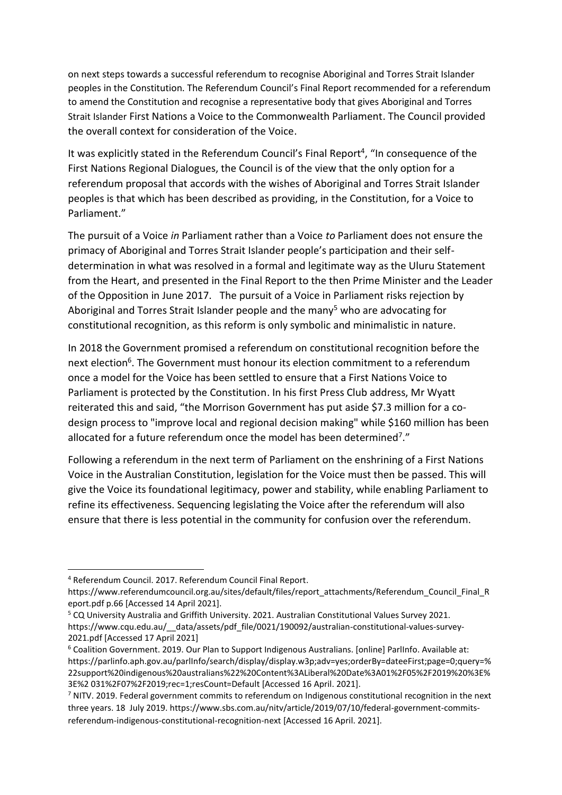on next steps towards a successful referendum to recognise Aboriginal and Torres Strait Islander peoples in the Constitution. The Referendum Council's Final Report recommended for a referendum to amend the Constitution and recognise a representative body that gives Aboriginal and Torres Strait Islander First Nations a Voice to the Commonwealth Parliament. The Council provided the overall context for consideration of the Voice.

It was explicitly stated in the Referendum Council's Final Report<sup>4</sup>, "In consequence of the First Nations Regional Dialogues, the Council is of the view that the only option for a referendum proposal that accords with the wishes of Aboriginal and Torres Strait Islander peoples is that which has been described as providing, in the Constitution, for a Voice to Parliament."

The pursuit of a Voice *in* Parliament rather than a Voice *to* Parliament does not ensure the primacy of Aboriginal and Torres Strait Islander people's participation and their selfdetermination in what was resolved in a formal and legitimate way as the Uluru Statement from the Heart, and presented in the Final Report to the then Prime Minister and the Leader of the Opposition in June 2017. The pursuit of a Voice in Parliament risks rejection by Aboriginal and Torres Strait Islander people and the many<sup>5</sup> who are advocating for constitutional recognition, as this reform is only symbolic and minimalistic in nature.

In 2018 the Government promised a referendum on constitutional recognition before the next election<sup>6</sup>. The Government must honour its election commitment to a referendum once a model for the Voice has been settled to ensure that a First Nations Voice to Parliament is protected by the Constitution. In his first Press Club address, Mr Wyatt reiterated this and said, "the Morrison Government has put aside \$7.3 million for a codesign process to "improve local and regional decision making" while \$160 million has been allocated for a future referendum once the model has been determined<sup>7</sup>."

Following a referendum in the next term of Parliament on the enshrining of a First Nations Voice in the Australian Constitution, legislation for the Voice must then be passed. This will give the Voice its foundational legitimacy, power and stability, while enabling Parliament to refine its effectiveness. Sequencing legislating the Voice after the referendum will also ensure that there is less potential in the community for confusion over the referendum.

<sup>4</sup> Referendum Council. 2017. Referendum Council Final Report.

https://www.referendumcouncil.org.au/sites/default/files/report\_attachments/Referendum\_Council\_Final\_R eport.pdf p.66 [Accessed 14 April 2021].

<sup>5</sup> CQ University Australia and Griffith University. 2021. Australian Constitutional Values Survey 2021. https://www.cqu.edu.au/\_\_data/assets/pdf\_file/0021/190092/australian-constitutional-values-survey-2021.pdf [Accessed 17 April 2021]

<sup>6</sup> Coalition Government. 2019. Our Plan to Support Indigenous Australians. [online] ParlInfo. Available at: https://parlinfo.aph.gov.au/parlInfo/search/display/display.w3p;adv=yes;orderBy=dateeFirst;page=0;query=% 22support%20indigenous%20australians%22%20Content%3ALiberal%20Date%3A01%2F05%2F2019%20%3E% 3E%2 031%2F07%2F2019;rec=1;resCount=Default [Accessed 16 April. 2021].

<sup>&</sup>lt;sup>7</sup> NITV. 2019. Federal government commits to referendum on Indigenous constitutional recognition in the next three years. 18 July 2019. https://www.sbs.com.au/nitv/article/2019/07/10/federal-government-commitsreferendum-indigenous-constitutional-recognition-next [Accessed 16 April. 2021].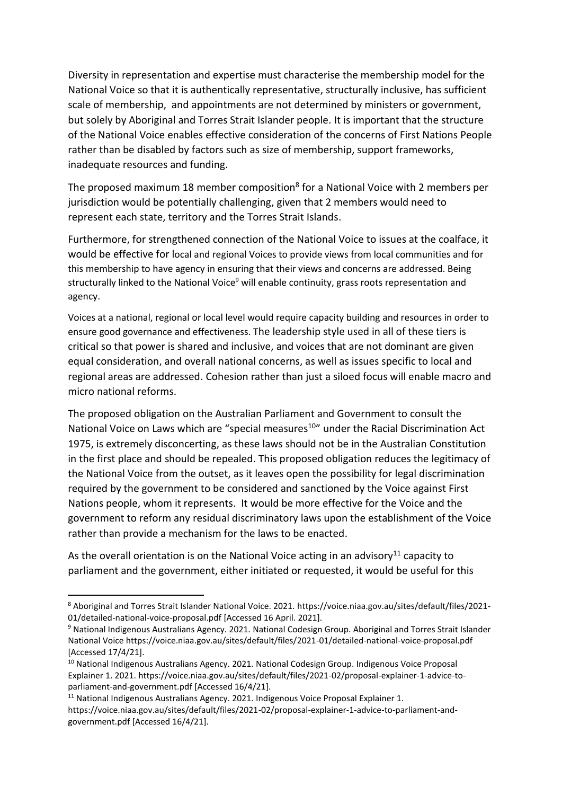Diversity in representation and expertise must characterise the membership model for the National Voice so that it is authentically representative, structurally inclusive, has sufficient scale of membership, and appointments are not determined by ministers or government, but solely by Aboriginal and Torres Strait Islander people. It is important that the structure of the National Voice enables effective consideration of the concerns of First Nations People rather than be disabled by factors such as size of membership, support frameworks, inadequate resources and funding.

The proposed maximum 18 member composition<sup>8</sup> for a National Voice with 2 members per jurisdiction would be potentially challenging, given that 2 members would need to represent each state, territory and the Torres Strait Islands.

Furthermore, for strengthened connection of the National Voice to issues at the coalface, it would be effective for local and regional Voices to provide views from local communities and for this membership to have agency in ensuring that their views and concerns are addressed. Being structurally linked to the National Voice<sup>9</sup> will enable continuity, grass roots representation and agency.

Voices at a national, regional or local level would require capacity building and resources in order to ensure good governance and effectiveness. The leadership style used in all of these tiers is critical so that power is shared and inclusive, and voices that are not dominant are given equal consideration, and overall national concerns, as well as issues specific to local and regional areas are addressed. Cohesion rather than just a siloed focus will enable macro and micro national reforms.

The proposed obligation on the Australian Parliament and Government to consult the National Voice on Laws which are "special measures<sup>10</sup>" under the Racial Discrimination Act 1975, is extremely disconcerting, as these laws should not be in the Australian Constitution in the first place and should be repealed. This proposed obligation reduces the legitimacy of the National Voice from the outset, as it leaves open the possibility for legal discrimination required by the government to be considered and sanctioned by the Voice against First Nations people, whom it represents. It would be more effective for the Voice and the government to reform any residual discriminatory laws upon the establishment of the Voice rather than provide a mechanism for the laws to be enacted.

As the overall orientation is on the National Voice acting in an advisory<sup>11</sup> capacity to parliament and the government, either initiated or requested, it would be useful for this

<sup>8</sup> Aboriginal and Torres Strait Islander National Voice. 2021. https://voice.niaa.gov.au/sites/default/files/2021- 01/detailed-national-voice-proposal.pdf [Accessed 16 April. 2021].

<sup>9</sup> National Indigenous Australians Agency. 2021. National Codesign Group. Aboriginal and Torres Strait Islander National Voice https://voice.niaa.gov.au/sites/default/files/2021-01/detailed-national-voice-proposal.pdf [Accessed 17/4/21].

<sup>&</sup>lt;sup>10</sup> National Indigenous Australians Agency. 2021. National Codesign Group. Indigenous Voice Proposal Explainer 1. 2021. https://voice.niaa.gov.au/sites/default/files/2021-02/proposal-explainer-1-advice-toparliament-and-government.pdf [Accessed 16/4/21].

 $11$  National Indigenous Australians Agency. 2021. Indigenous Voice Proposal Explainer 1. https://voice.niaa.gov.au/sites/default/files/2021-02/proposal-explainer-1-advice-to-parliament-andgovernment.pdf [Accessed 16/4/21].